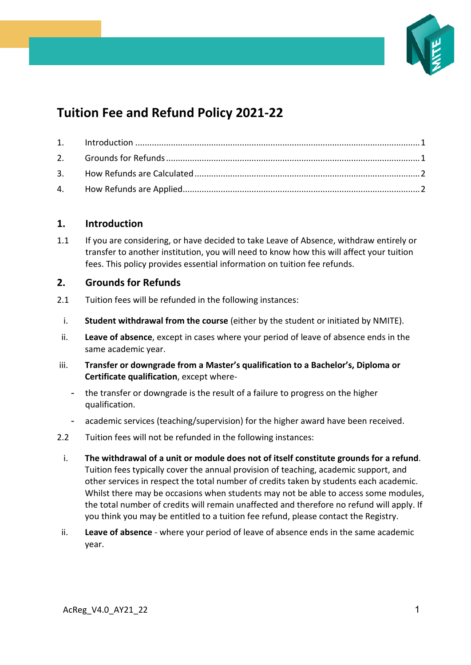

# **Tuition Fee and Refund Policy 2021-22**

### <span id="page-0-0"></span>**1. Introduction**

1.1 If you are considering, or have decided to take Leave of Absence, withdraw entirely or transfer to another institution, you will need to know how this will affect your tuition fees. This policy provides essential information on tuition fee refunds.

### <span id="page-0-1"></span>**2. Grounds for Refunds**

- 2.1 Tuition fees will be refunded in the following instances:
- i. **Student withdrawal from the course** (either by the student or initiated by NMITE).
- ii. **Leave of absence**, except in cases where your period of leave of absence ends in the same academic year.
- iii. **Transfer or downgrade from a Master's qualification to a Bachelor's, Diploma or Certificate qualification**, except where-
	- the transfer or downgrade is the result of a failure to progress on the higher qualification.
	- academic services (teaching/supervision) for the higher award have been received.
- 2.2 Tuition fees will not be refunded in the following instances:
	- i. **The withdrawal of a unit or module does not of itself constitute grounds for a refund**. Tuition fees typically cover the annual provision of teaching, academic support, and other services in respect the total number of credits taken by students each academic. Whilst there may be occasions when students may not be able to access some modules, the total number of credits will remain unaffected and therefore no refund will apply. If you think you may be entitled to a tuition fee refund, please contact the Registry.
- ii. **Leave of absence** where your period of leave of absence ends in the same academic year.